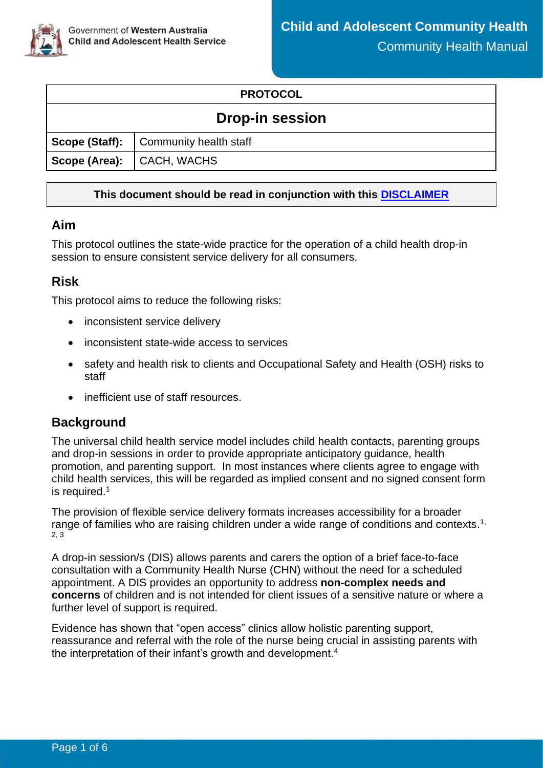

### **PROTOCOL**

### **Drop-in session**

|                           | Scope (Staff): Community health staff |  |
|---------------------------|---------------------------------------|--|
| Scope (Area): CACH, WACHS |                                       |  |

### **This document should be read in conjunction with this [DISCLAIMER](http://ww2.health.wa.gov.au/~/media/Files/Corporate/general%20documents/CAHS/CAHS.PM.ClinicalDisclaimer.ashx)**

### **Aim**

This protocol outlines the state-wide practice for the operation of a child health drop-in session to ensure consistent service delivery for all consumers.

### **Risk**

This protocol aims to reduce the following risks:

- inconsistent service delivery
- inconsistent state-wide access to services
- safety and health risk to clients and Occupational Safety and Health (OSH) risks to staff
- inefficient use of staff resources.

### **Background**

The universal child health service model includes child health contacts, parenting groups and drop-in sessions in order to provide appropriate anticipatory guidance, health promotion, and parenting support. In most instances where clients agree to engage with child health services, this will be regarded as implied consent and no signed consent form is required.<sup>1</sup>

The provision of flexible service delivery formats increases accessibility for a broader range of families who are raising children under a wide range of conditions and contexts.<sup>1,</sup> 2, 3

A drop-in session/s (DIS) allows parents and carers the option of a brief face-to-face consultation with a Community Health Nurse (CHN) without the need for a scheduled appointment. A DIS provides an opportunity to address **non-complex needs and concerns** of children and is not intended for client issues of a sensitive nature or where a further level of support is required.

Evidence has shown that "open access" clinics allow holistic parenting support, reassurance and referral with the role of the nurse being crucial in assisting parents with the interpretation of their infant's growth and development. 4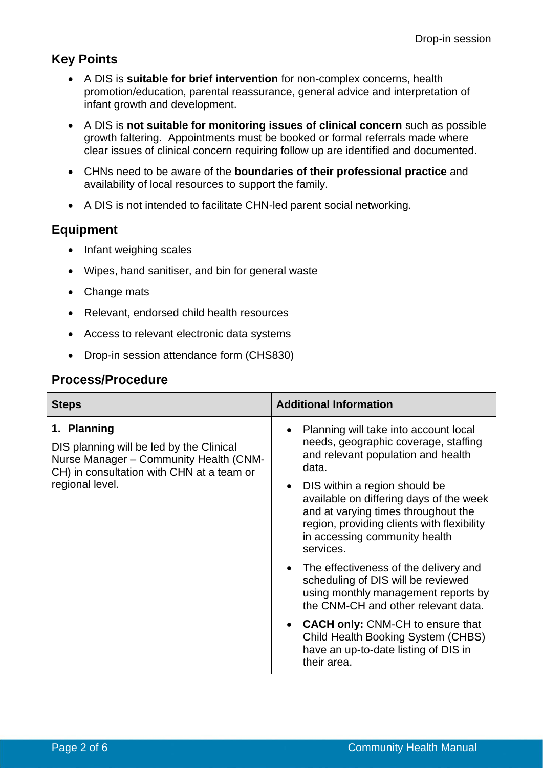# **Key Points**

- A DIS is **suitable for brief intervention** for non-complex concerns, health promotion/education, parental reassurance, general advice and interpretation of infant growth and development.
- A DIS is **not suitable for monitoring issues of clinical concern** such as possible growth faltering. Appointments must be booked or formal referrals made where clear issues of clinical concern requiring follow up are identified and documented.
- CHNs need to be aware of the **boundaries of their professional practice** and availability of local resources to support the family.
- A DIS is not intended to facilitate CHN-led parent social networking.

# **Equipment**

- Infant weighing scales
- Wipes, hand sanitiser, and bin for general waste
- Change mats
- Relevant, endorsed child health resources
- Access to relevant electronic data systems
- Drop-in session attendance form (CHS830)

# **Process/Procedure**

| <b>Steps</b>                                                                                                                                   | <b>Additional Information</b>                                                                                                                                                                               |  |  |
|------------------------------------------------------------------------------------------------------------------------------------------------|-------------------------------------------------------------------------------------------------------------------------------------------------------------------------------------------------------------|--|--|
| 1. Planning<br>DIS planning will be led by the Clinical<br>Nurse Manager - Community Health (CNM-<br>CH) in consultation with CHN at a team or | Planning will take into account local<br>needs, geographic coverage, staffing<br>and relevant population and health<br>data.                                                                                |  |  |
| regional level.                                                                                                                                | DIS within a region should be<br>available on differing days of the week<br>and at varying times throughout the<br>region, providing clients with flexibility<br>in accessing community health<br>services. |  |  |
|                                                                                                                                                | The effectiveness of the delivery and<br>scheduling of DIS will be reviewed<br>using monthly management reports by<br>the CNM-CH and other relevant data.                                                   |  |  |
|                                                                                                                                                | <b>CACH only: CNM-CH to ensure that</b><br>Child Health Booking System (CHBS)<br>have an up-to-date listing of DIS in<br>their area.                                                                        |  |  |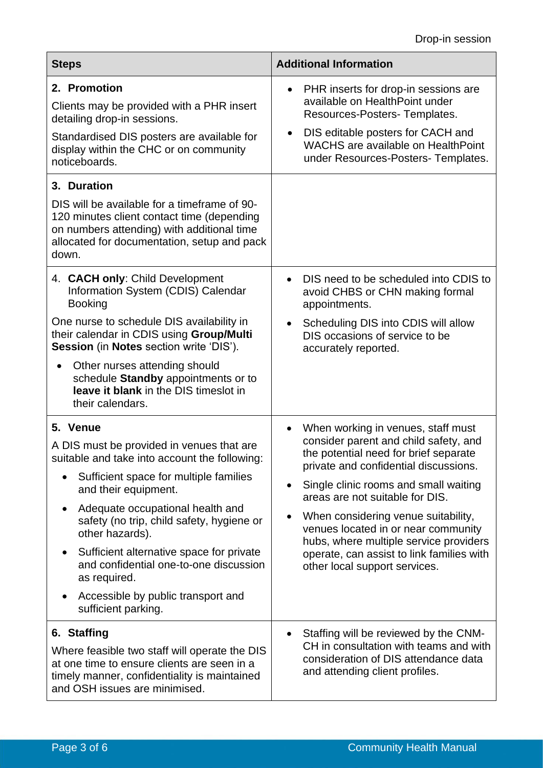| <b>Steps</b>                                                                                                                                                                                                                                                                                                                                                                                                                                    | <b>Additional Information</b>                                                                                                                                                                                                                                                                                                                                                                                                                                |  |  |
|-------------------------------------------------------------------------------------------------------------------------------------------------------------------------------------------------------------------------------------------------------------------------------------------------------------------------------------------------------------------------------------------------------------------------------------------------|--------------------------------------------------------------------------------------------------------------------------------------------------------------------------------------------------------------------------------------------------------------------------------------------------------------------------------------------------------------------------------------------------------------------------------------------------------------|--|--|
| 2. Promotion<br>Clients may be provided with a PHR insert<br>detailing drop-in sessions.<br>Standardised DIS posters are available for<br>display within the CHC or on community<br>noticeboards.                                                                                                                                                                                                                                               | PHR inserts for drop-in sessions are<br>$\bullet$<br>available on HealthPoint under<br>Resources-Posters- Templates.<br>DIS editable posters for CACH and<br>$\bullet$<br>WACHS are available on HealthPoint<br>under Resources-Posters- Templates.                                                                                                                                                                                                          |  |  |
| 3. Duration<br>DIS will be available for a timeframe of 90-<br>120 minutes client contact time (depending<br>on numbers attending) with additional time<br>allocated for documentation, setup and pack<br>down.                                                                                                                                                                                                                                 |                                                                                                                                                                                                                                                                                                                                                                                                                                                              |  |  |
| 4. CACH only: Child Development<br>Information System (CDIS) Calendar<br><b>Booking</b><br>One nurse to schedule DIS availability in<br>their calendar in CDIS using Group/Multi<br><b>Session</b> (in <b>Notes</b> section write 'DIS').<br>Other nurses attending should<br>schedule Standby appointments or to<br>leave it blank in the DIS timeslot in<br>their calendars.                                                                  | DIS need to be scheduled into CDIS to<br>$\bullet$<br>avoid CHBS or CHN making formal<br>appointments.<br>Scheduling DIS into CDIS will allow<br>$\bullet$<br>DIS occasions of service to be<br>accurately reported.                                                                                                                                                                                                                                         |  |  |
| 5. Venue<br>A DIS must be provided in venues that are<br>suitable and take into account the following:<br>Sufficient space for multiple families<br>and their equipment.<br>Adequate occupational health and<br>safety (no trip, child safety, hygiene or<br>other hazards).<br>Sufficient alternative space for private<br>and confidential one-to-one discussion<br>as required.<br>Accessible by public transport and<br>sufficient parking. | When working in venues, staff must<br>$\bullet$<br>consider parent and child safety, and<br>the potential need for brief separate<br>private and confidential discussions.<br>Single clinic rooms and small waiting<br>areas are not suitable for DIS.<br>When considering venue suitability,<br>venues located in or near community<br>hubs, where multiple service providers<br>operate, can assist to link families with<br>other local support services. |  |  |
| 6. Staffing<br>Where feasible two staff will operate the DIS<br>at one time to ensure clients are seen in a<br>timely manner, confidentiality is maintained<br>and OSH issues are minimised.                                                                                                                                                                                                                                                    | Staffing will be reviewed by the CNM-<br>CH in consultation with teams and with<br>consideration of DIS attendance data<br>and attending client profiles.                                                                                                                                                                                                                                                                                                    |  |  |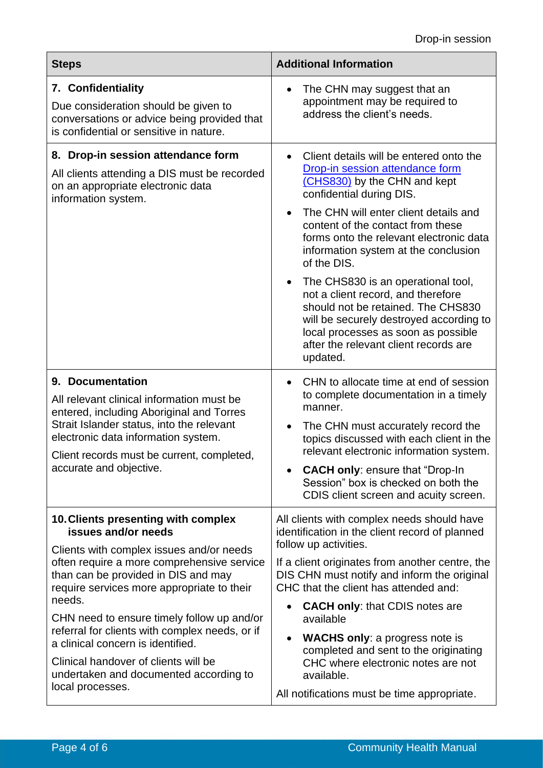| <b>Steps</b>                                                                                                                                                                                                                                                                                                                                                                                                                                                               | <b>Additional Information</b>                                                                                                                                                                                                                                                                                                                                                                                                                                                                                                                                                   |  |  |
|----------------------------------------------------------------------------------------------------------------------------------------------------------------------------------------------------------------------------------------------------------------------------------------------------------------------------------------------------------------------------------------------------------------------------------------------------------------------------|---------------------------------------------------------------------------------------------------------------------------------------------------------------------------------------------------------------------------------------------------------------------------------------------------------------------------------------------------------------------------------------------------------------------------------------------------------------------------------------------------------------------------------------------------------------------------------|--|--|
| 7. Confidentiality<br>Due consideration should be given to<br>conversations or advice being provided that<br>is confidential or sensitive in nature.                                                                                                                                                                                                                                                                                                                       | The CHN may suggest that an<br>٠<br>appointment may be required to<br>address the client's needs.                                                                                                                                                                                                                                                                                                                                                                                                                                                                               |  |  |
| 8. Drop-in session attendance form<br>All clients attending a DIS must be recorded<br>on an appropriate electronic data<br>information system.                                                                                                                                                                                                                                                                                                                             | Client details will be entered onto the<br>Drop-in session attendance form<br>(CHS830) by the CHN and kept<br>confidential during DIS.<br>The CHN will enter client details and<br>content of the contact from these<br>forms onto the relevant electronic data<br>information system at the conclusion<br>of the DIS.<br>The CHS830 is an operational tool,<br>not a client record, and therefore<br>should not be retained. The CHS830<br>will be securely destroyed according to<br>local processes as soon as possible<br>after the relevant client records are<br>updated. |  |  |
| 9. Documentation<br>All relevant clinical information must be<br>entered, including Aboriginal and Torres<br>Strait Islander status, into the relevant<br>electronic data information system.<br>Client records must be current, completed,<br>accurate and objective.                                                                                                                                                                                                     | CHN to allocate time at end of session<br>$\bullet$<br>to complete documentation in a timely<br>manner.<br>The CHN must accurately record the<br>topics discussed with each client in the<br>relevant electronic information system.<br><b>CACH only: ensure that "Drop-In</b><br>Session" box is checked on both the<br>CDIS client screen and acuity screen.                                                                                                                                                                                                                  |  |  |
| 10. Clients presenting with complex<br>issues and/or needs<br>Clients with complex issues and/or needs<br>often require a more comprehensive service<br>than can be provided in DIS and may<br>require services more appropriate to their<br>needs.<br>CHN need to ensure timely follow up and/or<br>referral for clients with complex needs, or if<br>a clinical concern is identified.<br>Clinical handover of clients will be<br>undertaken and documented according to | All clients with complex needs should have<br>identification in the client record of planned<br>follow up activities.<br>If a client originates from another centre, the<br>DIS CHN must notify and inform the original<br>CHC that the client has attended and:<br><b>CACH only: that CDIS notes are</b><br>$\bullet$<br>available<br><b>WACHS only: a progress note is</b><br>completed and sent to the originating<br>CHC where electronic notes are not<br>available.                                                                                                       |  |  |
| local processes.                                                                                                                                                                                                                                                                                                                                                                                                                                                           | All notifications must be time appropriate.                                                                                                                                                                                                                                                                                                                                                                                                                                                                                                                                     |  |  |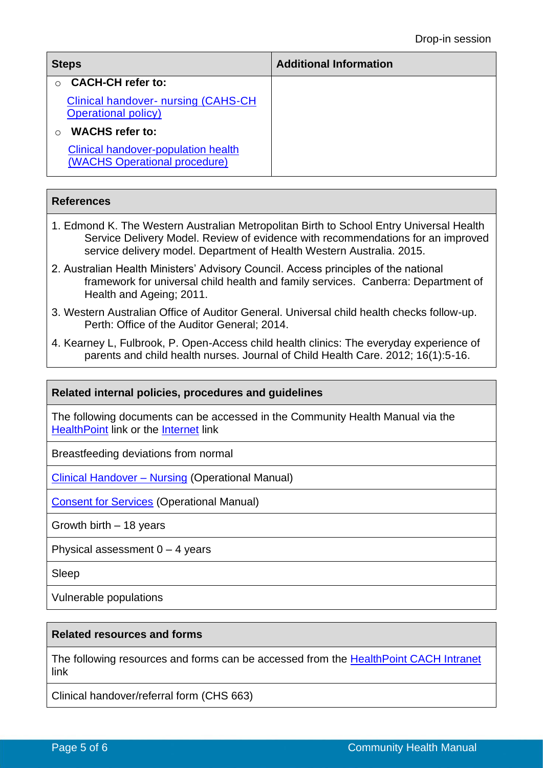| <b>Steps</b>                                                                | <b>Additional Information</b> |
|-----------------------------------------------------------------------------|-------------------------------|
| <b>CACH-CH refer to:</b>                                                    |                               |
| <b>Clinical handover- nursing (CAHS-CH)</b><br><b>Operational policy</b> )  |                               |
| <b>WACHS</b> refer to:                                                      |                               |
| <b>Clinical handover-population health</b><br>(WACHS Operational procedure) |                               |

#### **References**

- 1. Edmond K. The Western Australian Metropolitan Birth to School Entry Universal Health Service Delivery Model. Review of evidence with recommendations for an improved service delivery model. Department of Health Western Australia. 2015.
- 2. Australian Health Ministers' Advisory Council. Access principles of the national framework for universal child health and family services. Canberra: Department of Health and Ageing; 2011.
- 3. Western Australian Office of Auditor General. Universal child health checks follow-up. Perth: Office of the Auditor General; 2014.
- 4. Kearney L, Fulbrook, P. Open-Access child health clinics: The everyday experience of parents and child health nurses. Journal of Child Health Care. 2012; 16(1):5-16.

#### **Related internal policies, procedures and guidelines**

The following documents can be accessed in the Community Health Manual via the [HealthPoint](https://healthpoint.hdwa.health.wa.gov.au/policies/Pages/CACH-Community-Health.aspx) link or the [Internet](http://ww2.health.wa.gov.au/About-us/Child-and-Adolescent-Health-Service/Child-and-Adolescent-Community-Health/Professional-resources/Community-Health-Manual) link

Breastfeeding deviations from normal

[Clinical Handover](https://healthpoint.hdwa.health.wa.gov.au/policies/Pages/CACH-Operational-Policies.aspx) – Nursing (Operational Manual)

[Consent for Services](https://healthpoint.hdwa.health.wa.gov.au/policies/Pages/CACH-Operational-Policies.aspx) (Operational Manual)

Growth birth – 18 years

Physical assessment  $0 - 4$  years

Sleep

Vulnerable populations

#### **Related resources and forms**

The following resources and forms can be accessed from the [HealthPoint CACH Intranet](https://cahs-healthpoint.hdwa.health.wa.gov.au/Pages/default.aspx) link

Clinical handover/referral form (CHS 663)